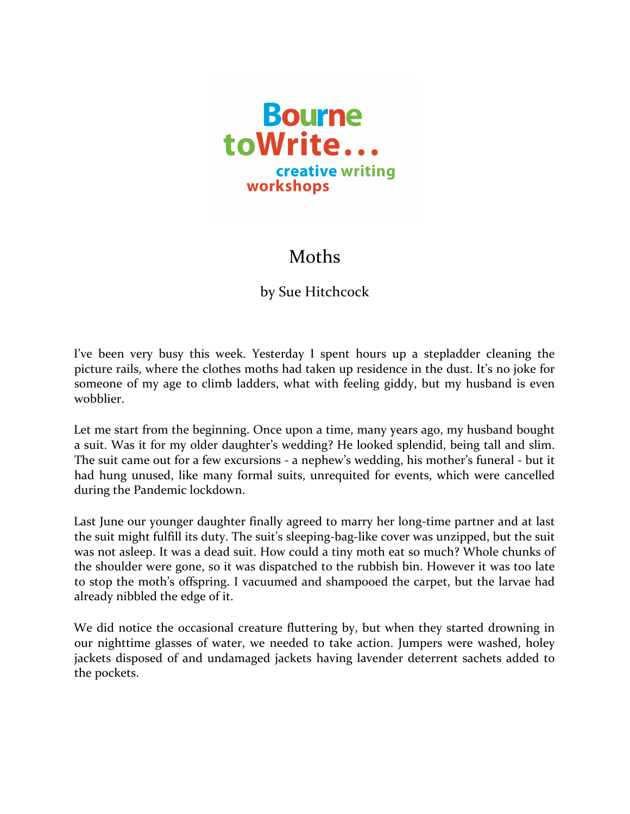

## Moths

by Sue Hitchcock

I've been very busy this week. Yesterday I spent hours up a stepladder cleaning the picture rails, where the clothes moths had taken up residence in the dust. It's no joke for someone of my age to climb ladders, what with feeling giddy, but my husband is even wobblier.

Let me start from the beginning. Once upon a time, many years ago, my husband bought a suit. Was it for my older daughter's wedding? He looked splendid, being tall and slim. The suit came out for a few excursions - a nephew's wedding, his mother's funeral - but it had hung unused, like many formal suits, unrequited for events, which were cancelled during the Pandemic lockdown.

Last June our younger daughter finally agreed to marry her long-time partner and at last the suit might fulfill its duty. The suit's sleeping-bag-like cover was unzipped, but the suit was not asleep. It was a dead suit. How could a tiny moth eat so much? Whole chunks of the shoulder were gone, so it was dispatched to the rubbish bin. However it was too late to stop the moth's offspring. I vacuumed and shampooed the carpet, but the larvae had already nibbled the edge of it.

We did notice the occasional creature fluttering by, but when they started drowning in our nighttime glasses of water, we needed to take action. Jumpers were washed, holey jackets disposed of and undamaged jackets having lavender deterrent sachets added to the pockets.